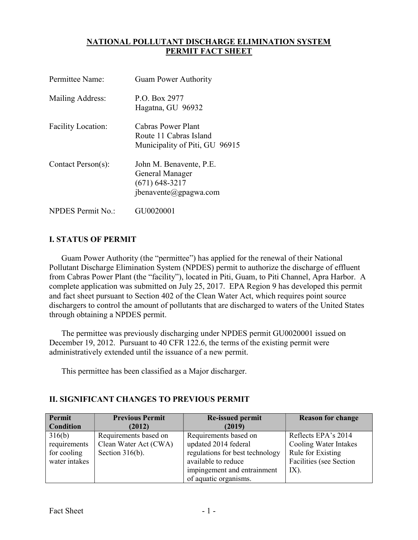## NATIONAL POLLUTANT DISCHARGE ELIMINATION SYSTEM PERMIT FACT SHEET

| Permittee Name:           | <b>Guam Power Authority</b>                                                             |
|---------------------------|-----------------------------------------------------------------------------------------|
| Mailing Address:          | P.O. Box 2977<br>Hagatna, GU 96932                                                      |
| <b>Facility Location:</b> | Cabras Power Plant<br>Route 11 Cabras Island<br>Municipality of Piti, GU 96915          |
| Contact Person(s):        | John M. Benavente, P.E.<br>General Manager<br>$(671)$ 648-3217<br>jbenavente@gpagwa.com |
| <b>NPDES Permit No.:</b>  | GU0020001                                                                               |

# I. STATUS OF PERMIT

 Guam Power Authority (the "permittee") has applied for the renewal of their National Pollutant Discharge Elimination System (NPDES) permit to authorize the discharge of effluent from Cabras Power Plant (the "facility"), located in Piti, Guam, to Piti Channel, Apra Harbor. A complete application was submitted on July 25, 2017. EPA Region 9 has developed this permit and fact sheet pursuant to Section 402 of the Clean Water Act, which requires point source dischargers to control the amount of pollutants that are discharged to waters of the United States through obtaining a NPDES permit.

 The permittee was previously discharging under NPDES permit GU0020001 issued on December 19, 2012. Pursuant to 40 CFR 122.6, the terms of the existing permit were administratively extended until the issuance of a new permit.

This permittee has been classified as a Major discharger.

# II. SIGNIFICANT CHANGES TO PREVIOUS PERMIT

| Permit           | <b>Previous Permit</b> | <b>Re-issued permit</b>         | <b>Reason for change</b> |
|------------------|------------------------|---------------------------------|--------------------------|
| <b>Condition</b> | (2012)                 | (2019)                          |                          |
| 316(b)           | Requirements based on  | Requirements based on           | Reflects EPA's 2014      |
| requirements     | Clean Water Act (CWA)  | updated 2014 federal            | Cooling Water Intakes    |
| for cooling      | Section $316(b)$ .     | regulations for best technology | Rule for Existing        |
| water intakes    |                        | available to reduce             | Facilities (see Section  |
|                  |                        | impingement and entrainment     | $IX$ ).                  |
|                  |                        | of aquatic organisms.           |                          |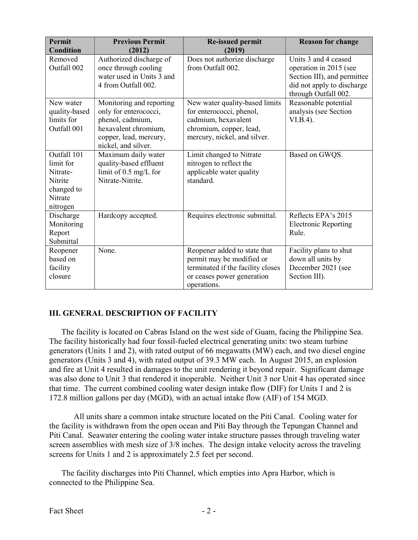| Permit<br><b>Condition</b>                                                           | <b>Previous Permit</b><br>(2012)                                                                                                               | <b>Re-issued permit</b><br>(2019)                                                                                                            | <b>Reason for change</b>                                                                                                            |
|--------------------------------------------------------------------------------------|------------------------------------------------------------------------------------------------------------------------------------------------|----------------------------------------------------------------------------------------------------------------------------------------------|-------------------------------------------------------------------------------------------------------------------------------------|
| Removed<br>Outfall 002                                                               | Authorized discharge of<br>once through cooling<br>water used in Units 3 and<br>4 from Outfall 002.                                            | Does not authorize discharge<br>from Outfall 002.                                                                                            | Units 3 and 4 ceased<br>operation in 2015 (see<br>Section III), and permittee<br>did not apply to discharge<br>through Outfall 002. |
| New water<br>quality-based<br>limits for<br>Outfall 001                              | Monitoring and reporting<br>only for enterococci,<br>phenol, cadmium,<br>hexavalent chromium,<br>copper, lead, mercury,<br>nickel, and silver. | New water quality-based limits<br>for enterococci, phenol,<br>cadmium, hexavalent<br>chromium, copper, lead,<br>mercury, nickel, and silver. | Reasonable potential<br>analysis (see Section<br>$VI.B.4$ ).                                                                        |
| Outfall 101<br>limit for<br>Nitrate-<br>Nitrite<br>changed to<br>Nitrate<br>nitrogen | Maximum daily water<br>quality-based effluent<br>limit of $0.5 \text{ mg/L}$ for<br>Nitrate-Nitrite.                                           | Limit changed to Nitrate<br>nitrogen to reflect the<br>applicable water quality<br>standard.                                                 | Based on GWQS.                                                                                                                      |
| Discharge<br>Monitoring<br>Report<br>Submittal                                       | Hardcopy accepted.                                                                                                                             | Requires electronic submittal.                                                                                                               | Reflects EPA's 2015<br><b>Electronic Reporting</b><br>Rule.                                                                         |
| Reopener<br>based on<br>facility<br>closure                                          | None.                                                                                                                                          | Reopener added to state that<br>permit may be modified or<br>terminated if the facility closes<br>or ceases power generation<br>operations.  | Facility plans to shut<br>down all units by<br>December 2021 (see<br>Section III).                                                  |

# III. GENERAL DESCRIPTION OF FACILITY

 The facility is located on Cabras Island on the west side of Guam, facing the Philippine Sea. The facility historically had four fossil-fueled electrical generating units: two steam turbine generators (Units 1 and 2), with rated output of 66 megawatts (MW) each, and two diesel engine generators (Units 3 and 4), with rated output of 39.3 MW each. In August 2015, an explosion and fire at Unit 4 resulted in damages to the unit rendering it beyond repair. Significant damage was also done to Unit 3 that rendered it inoperable. Neither Unit 3 nor Unit 4 has operated since that time. The current combined cooling water design intake flow (DIF) for Units 1 and 2 is 172.8 million gallons per day (MGD), with an actual intake flow (AIF) of 154 MGD.

 All units share a common intake structure located on the Piti Canal. Cooling water for the facility is withdrawn from the open ocean and Piti Bay through the Tepungan Channel and Piti Canal. Seawater entering the cooling water intake structure passes through traveling water screen assemblies with mesh size of 3/8 inches. The design intake velocity across the traveling screens for Units 1 and 2 is approximately 2.5 feet per second.

 The facility discharges into Piti Channel, which empties into Apra Harbor, which is connected to the Philippine Sea.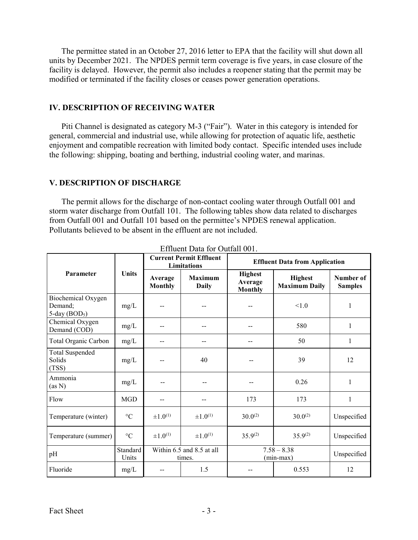The permittee stated in an October 27, 2016 letter to EPA that the facility will shut down all units by December 2021. The NPDES permit term coverage is five years, in case closure of the facility is delayed. However, the permit also includes a reopener stating that the permit may be modified or terminated if the facility closes or ceases power generation operations.

#### IV. DESCRIPTION OF RECEIVING WATER

 Piti Channel is designated as category M-3 ("Fair"). Water in this category is intended for general, commercial and industrial use, while allowing for protection of aquatic life, aesthetic enjoyment and compatible recreation with limited body contact. Specific intended uses include the following: shipping, boating and berthing, industrial cooling water, and marinas.

#### V. DESCRIPTION OF DISCHARGE

 storm water discharge from Outfall 101. The following tables show data related to discharges from Outfall 001 and Outfall 101 based on the permittee's NPDES renewal application. Pollutants believed to be absent in the effluent are not included. The permit allows for the discharge of non-contact cooling water through Outfall 001 and

|                                                               | <b>Current Permit Effluent</b><br><b>Limitations</b> |                           |                                     | <b>Effluent Data from Application</b>       |                                        |                             |  |
|---------------------------------------------------------------|------------------------------------------------------|---------------------------|-------------------------------------|---------------------------------------------|----------------------------------------|-----------------------------|--|
| Parameter                                                     | Units                                                | Average<br><b>Monthly</b> | <b>Maximum</b><br><b>Daily</b>      | <b>Highest</b><br>Average<br><b>Monthly</b> | <b>Highest</b><br><b>Maximum Daily</b> | Number of<br><b>Samples</b> |  |
| Biochemical Oxygen<br>Demand:<br>$5$ -day (BOD <sub>5</sub> ) | mg/L                                                 |                           |                                     |                                             | < 1.0                                  | 1                           |  |
| Chemical Oxygen<br>Demand (COD)                               | mg/L                                                 | --                        | --                                  |                                             | 580                                    | $\mathbf{1}$                |  |
| Total Organic Carbon                                          | mg/L                                                 |                           |                                     |                                             | 50                                     | 1                           |  |
| <b>Total Suspended</b><br>Solids<br>(TSS)                     | mg/L                                                 | --                        | 40                                  |                                             | 39                                     | 12                          |  |
| Ammonia<br>(as N)                                             | mg/L                                                 |                           |                                     |                                             | 0.26                                   | 1                           |  |
| Flow                                                          | <b>MGD</b>                                           | --                        |                                     | 173                                         | 173                                    | 1                           |  |
| Temperature (winter)                                          | $^{\circ}{\rm C}$                                    | $\pm 1.0^{(1)}$           | $\pm 1.0^{(1)}$                     | $30.0^{(2)}$                                | $30.0^{(2)}$                           | Unspecified                 |  |
| Temperature (summer)                                          | $\rm ^{\circ}C$                                      | $\pm 1.0^{(1)}$           | $\pm 1.0^{(1)}$                     | $35.9^{(2)}$                                | $35.9^{(2)}$                           | Unspecified                 |  |
| pH                                                            | Standard<br>Units                                    |                           | Within 6.5 and 8.5 at all<br>times. |                                             | $7.58 - 8.38$<br>$(min-max)$           | Unspecified                 |  |
| Fluoride                                                      | mg/L                                                 |                           | 1.5                                 |                                             | 0.553                                  | 12                          |  |

Effluent Data for Outfall 001.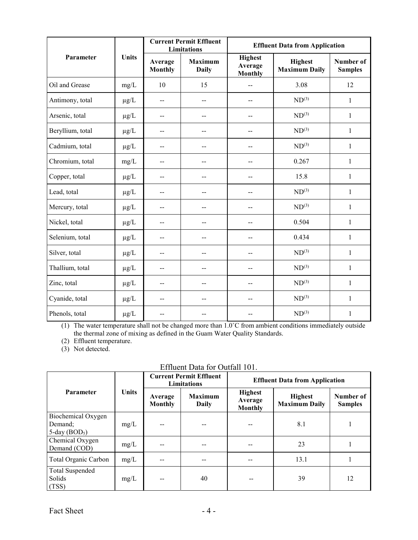|                  |              |                           | <b>Current Permit Effluent</b><br><b>Limitations</b> | <b>Effluent Data from Application</b>       |                                        |                             |  |
|------------------|--------------|---------------------------|------------------------------------------------------|---------------------------------------------|----------------------------------------|-----------------------------|--|
| Parameter        | <b>Units</b> | Average<br><b>Monthly</b> | <b>Maximum</b><br><b>Daily</b>                       | <b>Highest</b><br>Average<br><b>Monthly</b> | <b>Highest</b><br><b>Maximum Daily</b> | Number of<br><b>Samples</b> |  |
| Oil and Grease   | mg/L         | 10                        | 15                                                   |                                             | 3.08                                   | 12                          |  |
| Antimony, total  | $\mu g/L$    | $\overline{a}$            | $\overline{a}$                                       | $\overline{a}$                              | $ND^{(3)}$                             | $\mathbf{1}$                |  |
| Arsenic, total   | $\mu g/L$    | $-$                       | --                                                   |                                             | $ND^{(3)}$                             | $\mathbf{1}$                |  |
| Beryllium, total | $\mu g/L$    | $-$                       | --                                                   | $-$                                         | $ND^{(3)}$                             | $\mathbf{1}$                |  |
| Cadmium, total   | $\mu$ g/L    | --                        | --                                                   |                                             | $ND^{(3)}$                             | $\mathbf{1}$                |  |
| Chromium, total  | mg/L         | $-$                       | --                                                   |                                             | 0.267                                  | $\mathbf{1}$                |  |
| Copper, total    | $\mu$ g/L    | --                        | $-$                                                  |                                             | 15.8                                   | $\mathbf{1}$                |  |
| Lead, total      | $\mu$ g/L    | $-$                       | $-$                                                  |                                             | $ND^{(3)}$                             | $\mathbf{1}$                |  |
| Mercury, total   | $\mu g/L$    | $\overline{a}$            | $\overline{a}$                                       |                                             | $ND^{(3)}$                             | $\mathbf{1}$                |  |
| Nickel, total    | $\mu g/L$    | $-$                       | --                                                   |                                             | 0.504                                  | $\mathbf{1}$                |  |
| Selenium, total  | $\mu g/L$    | --                        | --                                                   |                                             | 0.434                                  | $\mathbf{1}$                |  |
| Silver, total    | $\mu g/L$    | $-$                       | --                                                   | --                                          | $ND^{(3)}$                             | $\mathbf{1}$                |  |
| Thallium, total  | $\mu g/L$    | --                        | --                                                   |                                             | $ND^{(3)}$                             | 1                           |  |
| Zinc, total      | $\mu g/L$    | $-$                       | --                                                   | $\overline{a}$                              | $ND^{(3)}$                             | 1                           |  |
| Cyanide, total   | $\mu g/L$    | $\overline{a}$            | $-$                                                  | $\overline{a}$                              | $ND^{(3)}$                             | 1                           |  |
| Phenols, total   | $\mu g/L$    | $-$                       |                                                      |                                             | $ND^{(3)}$                             | $\mathbf{1}$                |  |

(1) The water temperature shall not be changed more than 1.0˚C from ambient conditions immediately outside the thermal zone of mixing as defined in the Guam Water Quality Standards.

(2) Effluent temperature.

(3) Not detected.

| Effluent Data for Outfall 101. |
|--------------------------------|
|--------------------------------|

|                                 |       |                           | <b>Current Permit Effluent</b><br><b>Limitations</b> | <b>Effluent Data from Application</b>       |                                        |                             |  |
|---------------------------------|-------|---------------------------|------------------------------------------------------|---------------------------------------------|----------------------------------------|-----------------------------|--|
| Parameter                       | Units | Average<br><b>Monthly</b> | <b>Maximum</b><br>Daily                              | <b>Highest</b><br>Average<br><b>Monthly</b> | <b>Highest</b><br><b>Maximum Daily</b> | Number of<br><b>Samples</b> |  |
| Biochemical Oxygen              |       |                           |                                                      |                                             |                                        |                             |  |
| Demand;                         | mg/L  | --                        | --                                                   |                                             | 8.1                                    |                             |  |
| $5$ -day (BOD <sub>5</sub> )    |       |                           |                                                      |                                             |                                        |                             |  |
| Chemical Oxygen<br>Demand (COD) | mg/L  | $-$                       | --                                                   |                                             | 23                                     |                             |  |
| Total Organic Carbon            | mg/L  | --                        | --                                                   |                                             | 13.1                                   |                             |  |
| Total Suspended                 |       |                           |                                                      |                                             |                                        |                             |  |
| Solids                          | mg/L  | --                        | 40                                                   |                                             | 39                                     | 12                          |  |
| (TSS)                           |       |                           |                                                      |                                             |                                        |                             |  |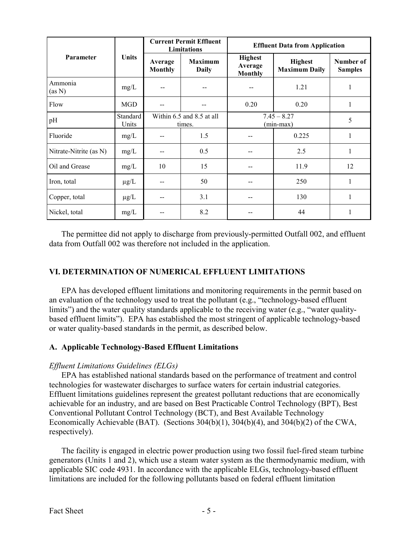|                        |                   |                           | <b>Current Permit Effluent</b><br><b>Limitations</b> | <b>Effluent Data from Application</b>       |                                        |                             |  |
|------------------------|-------------------|---------------------------|------------------------------------------------------|---------------------------------------------|----------------------------------------|-----------------------------|--|
| Parameter              | Units             | Average<br><b>Monthly</b> | <b>Maximum</b><br><b>Daily</b>                       | <b>Highest</b><br>Average<br><b>Monthly</b> | <b>Highest</b><br><b>Maximum Daily</b> | Number of<br><b>Samples</b> |  |
| Ammonia<br>(as N)      | mg/L              |                           |                                                      |                                             | 1.21                                   |                             |  |
| Flow                   | <b>MGD</b>        |                           |                                                      | 0.20                                        | 0.20                                   | 1                           |  |
| pH                     | Standard<br>Units |                           | Within 6.5 and 8.5 at all<br>times.                  | $7.45 - 8.27$<br>$(min-max)$                | 5                                      |                             |  |
| Fluoride               | mg/L              |                           | 1.5                                                  |                                             | 0.225                                  |                             |  |
| Nitrate-Nitrite (as N) | mg/L              |                           | 0.5                                                  |                                             | 2.5                                    |                             |  |
| Oil and Grease         | mg/L              | 10                        | 15                                                   | --                                          | 11.9                                   | 12                          |  |
| Iron, total            | $\mu$ g/L         |                           | 50                                                   |                                             | 250                                    | 1                           |  |
| Copper, total          | $\mu$ g/L         | --                        | 3.1                                                  |                                             | 130                                    | 1                           |  |
| Nickel, total          | mg/L              |                           | 8.2                                                  |                                             | 44                                     | 1                           |  |

 The permittee did not apply to discharge from previously-permitted Outfall 002, and effluent data from Outfall 002 was therefore not included in the application.

# VI. DETERMINATION OF NUMERICAL EFFLUENT LIMITATIONS

 an evaluation of the technology used to treat the pollutant (e.g., "technology-based effluent limits") and the water quality standards applicable to the receiving water (e.g., "water quality- based effluent limits"). EPA has established the most stringent of applicable technology-based or water quality-based standards in the permit, as described below. EPA has developed effluent limitations and monitoring requirements in the permit based on

# A. Applicable Technology-Based Effluent Limitations

### Effluent Limitations Guidelines (ELGs)

 EPA has established national standards based on the performance of treatment and control technologies for wastewater discharges to surface waters for certain industrial categories. Effluent limitations guidelines represent the greatest pollutant reductions that are economically achievable for an industry, and are based on Best Practicable Control Technology (BPT), Best Conventional Pollutant Control Technology (BCT), and Best Available Technology Economically Achievable (BAT). (Sections 304(b)(1), 304(b)(4), and 304(b)(2) of the CWA, respectively).

 The facility is engaged in electric power production using two fossil fuel-fired steam turbine generators (Units 1 and 2), which use a steam water system as the thermodynamic medium, with applicable SIC code 4931. In accordance with the applicable ELGs, technology-based effluent limitations are included for the following pollutants based on federal effluent limitation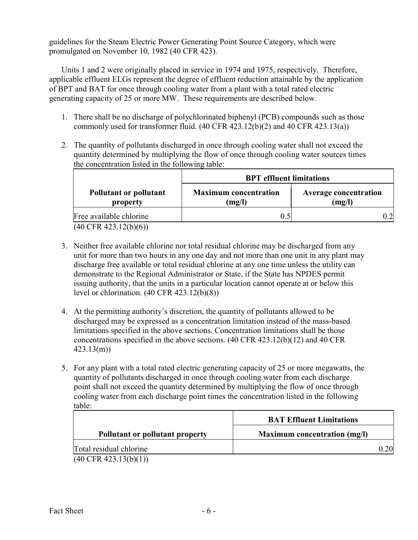guidelines for the Steam Electric Power Generating Point Source Category, which were promulgated on November 10, 1982 (40 CFR 423).

Units 1 and 2 were originally placed in service in 1974 and 1975, respectively. Therefore, applicable effluent ELGs represent the degree of effluent reduction attainable by the application of BPT and BAT for once through cooling water from a plant with a total rated electric generating capacity of 25 or more MW. These requirements are described below.

- 1. There shall be no discharge of polychlorinated biphenyl (PCB) compounds such as those commonly used for transformer fluid. (40 CFR 423.12(b)(2) and 40 CFR 423.13(a))
- 2. The quantity of pollutants discharged in once through cooling water shall not exceed the quantity determined by multiplying the flow of once through cooling water sources times the concentration listed in the following table:

|                                                  | <b>BPT</b> effluent limitations        |                                        |  |  |  |  |
|--------------------------------------------------|----------------------------------------|----------------------------------------|--|--|--|--|
| <b>Pollutant or pollutant</b><br>property        | <b>Maximum</b> concentration<br>(mg/l) | <b>Average concentration</b><br>(mg/l) |  |  |  |  |
| Free available chlorine                          |                                        |                                        |  |  |  |  |
| $(40 \cap \text{ED} 422 12(\text{L})(\text{L}))$ |                                        |                                        |  |  |  |  |

(40 CFR 423.12(b)(6))

- 3. Neither free available chlorine nor total residual chlorine may be discharged from any unit for more than two hours in any one day and not more than one unit in any plant may discharge free available or total residual chlorine at any one time unless the utility can demonstrate to the Regional Administrator or State, if the State has NPDES permit issuing authority, that the units in a particular location cannot operate at or below this level or chlorination. (40 CFR 423.12(b)(8))
- 4. At the permitting authority's discretion, the quantity of pollutants allowed to be discharged may be expressed as a concentration limitation instead of the mass-based limitations specified in the above sections. Concentration limitations shall be those concentrations specified in the above sections. (40 CFR 423.12(b)(12) and 40 CFR 423.13(m))
- 5. For any plant with a total rated electric generating capacity of 25 or more megawatts, the quantity of pollutants discharged in once through cooling water from each discharge point shall not exceed the quantity determined by multiplying the flow of once through cooling water from each discharge point times the concentration listed in the following table:

|                                  | <b>BAT Effluent Limitations</b>     |
|----------------------------------|-------------------------------------|
| Pollutant or pollutant property  | <b>Maximum concentration (mg/l)</b> |
| Total residual chlorine          | 0.20                                |
| $(40 \text{ CFR } 423.13(b)(1))$ |                                     |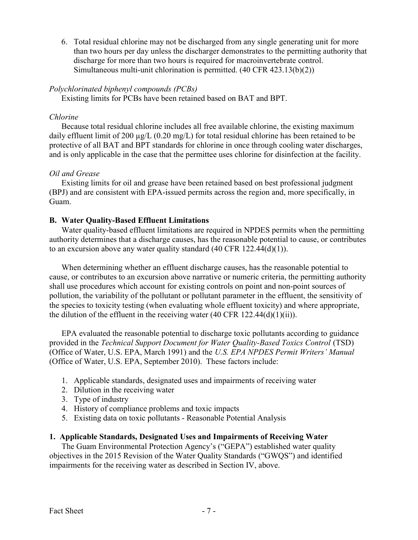6. Total residual chlorine may not be discharged from any single generating unit for more than two hours per day unless the discharger demonstrates to the permitting authority that discharge for more than two hours is required for macroinvertebrate control. Simultaneous multi-unit chlorination is permitted. (40 CFR 423.13(b)(2))

### Polychlorinated biphenyl compounds (PCBs)

Existing limits for PCBs have been retained based on BAT and BPT.

#### Chlorine

 Because total residual chlorine includes all free available chlorine, the existing maximum daily effluent limit of 200  $\mu$ g/L (0.20 mg/L) for total residual chlorine has been retained to be protective of all BAT and BPT standards for chlorine in once through cooling water discharges, and is only applicable in the case that the permittee uses chlorine for disinfection at the facility.

### Oil and Grease

 Existing limits for oil and grease have been retained based on best professional judgment (BPJ) and are consistent with EPA-issued permits across the region and, more specifically, in Guam.

### B. Water Quality-Based Effluent Limitations

 authority determines that a discharge causes, has the reasonable potential to cause, or contributes to an excursion above any water quality standard (40 CFR 122.44(d)(1)). Water quality-based effluent limitations are required in NPDES permits when the permitting

 cause, or contributes to an excursion above narrative or numeric criteria, the permitting authority shall use procedures which account for existing controls on point and non-point sources of pollution, the variability of the pollutant or pollutant parameter in the effluent, the sensitivity of the species to toxicity testing (when evaluating whole effluent toxicity) and where appropriate, the dilution of the effluent in the receiving water  $(40 \text{ CFR } 122.44(d)(1)(ii))$ . When determining whether an effluent discharge causes, has the reasonable potential to

provided in the Technical Support Document for Water Quality-Based Toxics Control (TSD) (Office of Water, U.S. EPA, March 1991) and the U.S. EPA NPDES Permit Writers' Manual (Office of Water, U.S. EPA, September 2010). These factors include: EPA evaluated the reasonable potential to discharge toxic pollutants according to guidance

- 1. Applicable standards, designated uses and impairments of receiving water
- 2. Dilution in the receiving water
- 3. Type of industry
- 4. History of compliance problems and toxic impacts
- 5. Existing data on toxic pollutants Reasonable Potential Analysis

### 1. Applicable Standards, Designated Uses and Impairments of Receiving Water

 objectives in the 2015 Revision of the Water Quality Standards ("GWQS") and identified impairments for the receiving water as described in Section IV, above. The Guam Environmental Protection Agency's ("GEPA") established water quality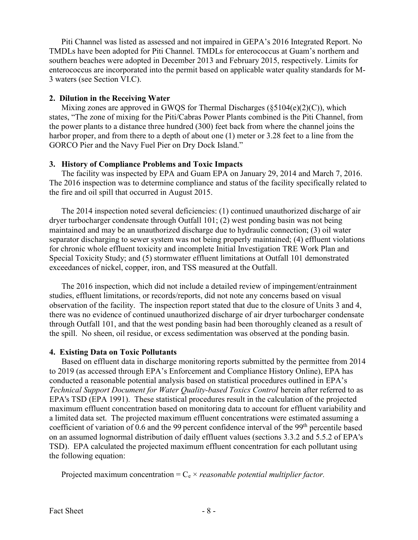Piti Channel was listed as assessed and not impaired in GEPA's 2016 Integrated Report. No TMDLs have been adopted for Piti Channel. TMDLs for enterococcus at Guam's northern and southern beaches were adopted in December 2013 and February 2015, respectively. Limits for enterococcus are incorporated into the permit based on applicable water quality standards for M-3 waters (see Section VI.C).

## 2. Dilution in the Receiving Water

 Mixing zones are approved in GWQS for Thermal Discharges (§5104(e)(2)(C)), which states, "The zone of mixing for the Piti/Cabras Power Plants combined is the Piti Channel, from the power plants to a distance three hundred (300) feet back from where the channel joins the harbor proper, and from there to a depth of about one (1) meter or 3.28 feet to a line from the GORCO Pier and the Navy Fuel Pier on Dry Dock Island."

## 3. History of Compliance Problems and Toxic Impacts

 The facility was inspected by EPA and Guam EPA on January 29, 2014 and March 7, 2016. The 2016 inspection was to determine compliance and status of the facility specifically related to the fire and oil spill that occurred in August 2015.

 The 2014 inspection noted several deficiencies: (1) continued unauthorized discharge of air dryer turbocharger condensate through Outfall 101; (2) west ponding basin was not being maintained and may be an unauthorized discharge due to hydraulic connection; (3) oil water separator discharging to sewer system was not being properly maintained; (4) effluent violations for chronic whole effluent toxicity and incomplete Initial Investigation TRE Work Plan and Special Toxicity Study; and (5) stormwater effluent limitations at Outfall 101 demonstrated exceedances of nickel, copper, iron, and TSS measured at the Outfall.

 The 2016 inspection, which did not include a detailed review of impingement/entrainment studies, effluent limitations, or records/reports, did not note any concerns based on visual observation of the facility. The inspection report stated that due to the closure of Units 3 and 4, there was no evidence of continued unauthorized discharge of air dryer turbocharger condensate through Outfall 101, and that the west ponding basin had been thoroughly cleaned as a result of the spill. No sheen, oil residue, or excess sedimentation was observed at the ponding basin.

# 4. Existing Data on Toxic Pollutants

 to 2019 (as accessed through EPA's Enforcement and Compliance History Online), EPA has conducted a reasonable potential analysis based on statistical procedures outlined in EPA's Technical Support Document for Water Quality-based Toxics Control herein after referred to as EPA's TSD (EPA 1991). These statistical procedures result in the calculation of the projected maximum effluent concentration based on monitoring data to account for effluent variability and a limited data set. The projected maximum effluent concentrations were estimated assuming a coefficient of variation of 0.6 and the 99 percent confidence interval of the 99<sup>th</sup> percentile based on an assumed lognormal distribution of daily effluent values (sections 3.3.2 and 5.5.2 of EPA's TSD). EPA calculated the projected maximum effluent concentration for each pollutant using the following equation: Based on effluent data in discharge monitoring reports submitted by the permittee from 2014

Projected maximum concentration =  $C_e \times reasonable$  potential multiplier factor.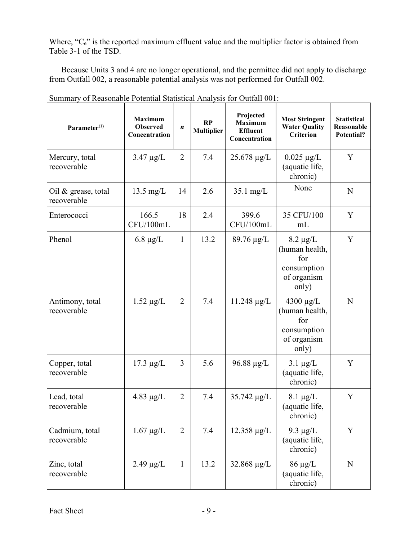Where, "C<sub>e</sub>" is the reported maximum effluent value and the multiplier factor is obtained from Table 3-1 of the TSD.

 Because Units 3 and 4 are no longer operational, and the permittee did not apply to discharge from Outfall 002, a reasonable potential analysis was not performed for Outfall 002.

| Parameter <sup>(1)</sup>           | <b>Maximum</b><br><b>Observed</b><br>Concentration | $\boldsymbol{n}$ | RP<br><b>Multiplier</b> | Projected<br><b>Maximum</b><br><b>Effluent</b><br>Concentration | <b>Most Stringent</b><br><b>Water Quality</b><br><b>Criterion</b>              | <b>Statistical</b><br>Reasonable<br>Potential? |
|------------------------------------|----------------------------------------------------|------------------|-------------------------|-----------------------------------------------------------------|--------------------------------------------------------------------------------|------------------------------------------------|
| Mercury, total<br>recoverable      | $3.47 \mu g/L$                                     | 2                | 7.4                     | $25.678 \mu g/L$                                                | $0.025 \mu g/L$<br>(aquatic life,<br>chronic)                                  | Y                                              |
| Oil & grease, total<br>recoverable | $13.5 \text{ mg/L}$                                | 14               | 2.6                     | $35.1 \text{ mg/L}$                                             | None                                                                           | N                                              |
| Enterococci                        | 166.5<br>CFU/100mL                                 | 18               | 2.4                     | 399.6<br>CFU/100mL                                              | 35 CFU/100<br>mL                                                               | Y                                              |
| Phenol                             | $6.8 \ \mu g/L$                                    | $\mathbf{1}$     | 13.2                    | 89.76 µg/L                                                      | $8.2 \mu g/L$<br>(human health,<br>for<br>consumption<br>of organism<br>only)  | Y                                              |
| Antimony, total<br>recoverable     | $1.52 \mu g/L$                                     | $\overline{2}$   | 7.4                     | $11.248 \mu g/L$                                                | 4300 $\mu$ g/L<br>(human health,<br>for<br>consumption<br>of organism<br>only) | N                                              |
| Copper, total<br>recoverable       | $17.3 \mu g/L$                                     | 3                | 5.6                     | $96.88 \mu g/L$                                                 | $3.1 \mu g/L$<br>(aquatic life,<br>chronic)                                    | Y                                              |
| Lead, total<br>recoverable         | 4.83 $\mu$ g/L                                     | 2                | 7.4                     | $35.742 \mu g/L$                                                | $8.1 \mu g/L$<br>(aquatic life,<br>chronic)                                    | Y                                              |
| Cadmium, total<br>recoverable      | $1.67 \mu g/L$                                     | $\overline{2}$   | 7.4                     | $12.358 \mu g/L$                                                | 9.3 $\mu$ g/L<br>(aquatic life,<br>chronic)                                    | Y                                              |
| Zinc, total<br>recoverable         | $2.49 \mu g/L$                                     | $\mathbf{1}$     | 13.2                    | $32.868 \mu g/L$                                                | $86 \mu g/L$<br>(aquatic life,<br>chronic)                                     | $\mathbf N$                                    |

Summary of Reasonable Potential Statistical Analysis for Outfall 001: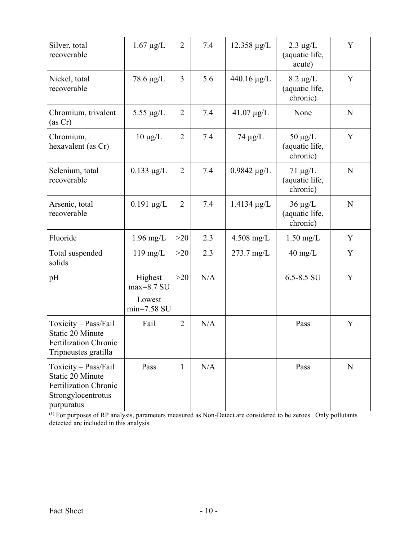| Silver, total<br>recoverable                                                                                 | $1.67 \mu g/L$                                     | $\overline{2}$ | 7.4 | $12.358 \mu g/L$     | $2.3 \mu g/L$<br>(aquatic life,<br>acute)   | Y           |
|--------------------------------------------------------------------------------------------------------------|----------------------------------------------------|----------------|-----|----------------------|---------------------------------------------|-------------|
| Nickel, total<br>recoverable                                                                                 | 78.6 $\mu$ g/L                                     | 3              | 5.6 | $440.16 \mu g/L$     | $8.2 \mu g/L$<br>(aquatic life,<br>chronic) | Y           |
| Chromium, trivalent<br>(as Cr)                                                                               | 5.55 $\mu$ g/L                                     | $\overline{2}$ | 7.4 | $41.07 \mu g/L$      | None                                        | ${\bf N}$   |
| Chromium,<br>hexavalent (as Cr)                                                                              | $10 \mu g/L$                                       | $\overline{2}$ | 7.4 | $74 \mu g/L$         | $50 \mu g/L$<br>(aquatic life,<br>chronic)  | Y           |
| Selenium, total<br>recoverable                                                                               | $0.133 \mu g/L$                                    | $\overline{2}$ | 7.4 | $0.9842 \mu g/L$     | $71 \mu g/L$<br>(aquatic life,<br>chronic)  | $\mathbf N$ |
| Arsenic, total<br>recoverable                                                                                | $0.191 \mu g/L$                                    | $\overline{2}$ | 7.4 | $1.4134 \mu g/L$     | $36 \mu g/L$<br>(aquatic life,<br>chronic)  | N           |
| Fluoride                                                                                                     | $1.96$ mg/L                                        | $>20$          | 2.3 | $4.508$ mg/L         | $1.50$ mg/L                                 | Y           |
| Total suspended<br>solids                                                                                    | $119$ mg/L                                         | $>20$          | 2.3 | $273.7 \text{ mg/L}$ | $40 \text{ mg/L}$                           | Y           |
| pH                                                                                                           | Highest<br>$max=8.7$ SU<br>Lowest<br>$min=7.58$ SU | >20            | N/A |                      | 6.5-8.5 SU                                  | Y           |
| Toxicity - Pass/Fail<br>Static 20 Minute<br><b>Fertilization Chronic</b><br>Tripneustes gratilla             | Fail                                               | $\overline{2}$ | N/A |                      | Pass                                        | Y           |
| Toxicity - Pass/Fail<br>Static 20 Minute<br><b>Fertilization Chronic</b><br>Strongylocentrotus<br>purpuratus | Pass                                               | $\mathbf{1}$   | N/A |                      | Pass                                        | $\mathbf N$ |

<sup>(1)</sup> For purposes of RP analysis, parameters measured as Non-Detect are considered to be zeroes. Only pollutants detected are included in this analysis.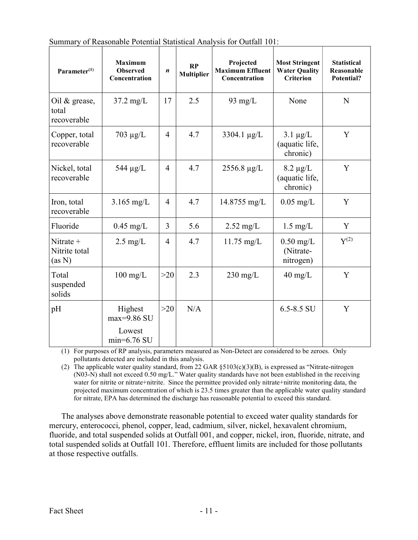| Parameter <sup>(1)</sup>                 | <b>Maximum</b><br><b>Observed</b><br>Concentration | $\boldsymbol{n}$ | RP<br><b>Multiplier</b> | Projected<br><b>Maximum Effluent</b><br>Concentration | <b>Most Stringent</b><br><b>Water Quality</b><br><b>Criterion</b> | <b>Statistical</b><br>Reasonable<br><b>Potential?</b> |
|------------------------------------------|----------------------------------------------------|------------------|-------------------------|-------------------------------------------------------|-------------------------------------------------------------------|-------------------------------------------------------|
| Oil $\&$ grease,<br>total<br>recoverable | $37.2 \text{ mg/L}$                                | 17               | 2.5                     | 93 mg/ $L$                                            | None                                                              | N                                                     |
| Copper, total<br>recoverable             | $703 \mu g/L$                                      | 4                | 4.7                     | 3304.1 $\mu$ g/L                                      | $3.1 \mu g/L$<br>(aquatic life,<br>chronic)                       | Y                                                     |
| Nickel, total<br>recoverable             | 544 $\mu$ g/L                                      | $\overline{4}$   | 4.7                     | 2556.8 µg/L                                           | $8.2 \mu g/L$<br>(aquatic life,<br>chronic)                       | Y                                                     |
| Iron, total<br>recoverable               | $3.165$ mg/L                                       | $\overline{4}$   | 4.7                     | 14.8755 mg/L                                          | $0.05$ mg/L                                                       | Y                                                     |
| Fluoride                                 | $0.45$ mg/L                                        | 3                | 5.6                     | $2.52 \text{ mg/L}$                                   | $1.5 \text{ mg/L}$                                                | Y                                                     |
| Nitrate $+$<br>Nitrite total<br>(as N)   | $2.5 \text{ mg/L}$                                 | $\overline{4}$   | 4.7                     | $11.75$ mg/L                                          | $0.50 \text{ mg/L}$<br>(Nitrate-<br>nitrogen)                     | $Y^{(2)}$                                             |
| Total<br>suspended<br>solids             | $100 \text{ mg/L}$                                 | >20              | 2.3                     | $230$ mg/L                                            | $40 \text{ mg/L}$                                                 | Y                                                     |
| pH                                       | Highest<br>$max=9.86$ SU                           | >20              | N/A                     |                                                       | $6.5 - 8.5$ SU                                                    | Y                                                     |
|                                          | Lowest<br>$min=6.76$ SU                            |                  |                         |                                                       |                                                                   |                                                       |

Summary of Reasonable Potential Statistical Analysis for Outfall 101:

 (1) For purposes of RP analysis, parameters measured as Non-Detect are considered to be zeroes. Only pollutants detected are included in this analysis.

 (2) The applicable water quality standard, from 22 GAR §5103(c)(3)(B), is expressed as "Nitrate-nitrogen (N03-N) shall not exceed 0.50 mg/L." Water quality standards have not been established in the receiving water for nitrite or nitrate+nitrite. Since the permittee provided only nitrate+nitrite monitoring data, the projected maximum concentration of which is 23.5 times greater than the applicable water quality standard for nitrate, EPA has determined the discharge has reasonable potential to exceed this standard.

 The analyses above demonstrate reasonable potential to exceed water quality standards for mercury, enterococci, phenol, copper, lead, cadmium, silver, nickel, hexavalent chromium, fluoride, and total suspended solids at Outfall 001, and copper, nickel, iron, fluoride, nitrate, and total suspended solids at Outfall 101. Therefore, effluent limits are included for those pollutants at those respective outfalls.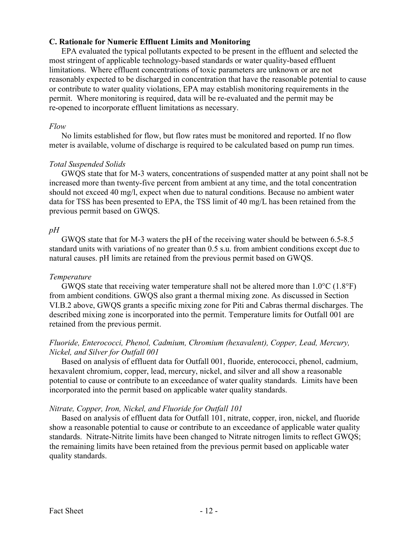### C. Rationale for Numeric Effluent Limits and Monitoring

 EPA evaluated the typical pollutants expected to be present in the effluent and selected the most stringent of applicable technology-based standards or water quality-based effluent limitations. Where effluent concentrations of toxic parameters are unknown or are not reasonably expected to be discharged in concentration that have the reasonable potential to cause or contribute to water quality violations, EPA may establish monitoring requirements in the permit. Where monitoring is required, data will be re-evaluated and the permit may be re-opened to incorporate effluent limitations as necessary.

### Flow

 No limits established for flow, but flow rates must be monitored and reported. If no flow meter is available, volume of discharge is required to be calculated based on pump run times.

### Total Suspended Solids

 GWQS state that for M-3 waters, concentrations of suspended matter at any point shall not be increased more than twenty-five percent from ambient at any time, and the total concentration should not exceed 40 mg/l, expect when due to natural conditions. Because no ambient water data for TSS has been presented to EPA, the TSS limit of 40 mg/L has been retained from the previous permit based on GWQS.

### $pH$

 GWQS state that for M-3 waters the pH of the receiving water should be between 6.5-8.5 standard units with variations of no greater than 0.5 s.u. from ambient conditions except due to natural causes. pH limits are retained from the previous permit based on GWQS.

### Temperature

GWQS state that receiving water temperature shall not be altered more than  $1.0^{\circ}$ C (1.8°F) from ambient conditions. GWQS also grant a thermal mixing zone. As discussed in Section VI.B.2 above, GWQS grants a specific mixing zone for Piti and Cabras thermal discharges. The described mixing zone is incorporated into the permit. Temperature limits for Outfall 001 are retained from the previous permit.

## Fluoride, Enterococci, Phenol, Cadmium, Chromium (hexavalent), Copper, Lead, Mercury, Nickel, and Silver for Outfall 001

 hexavalent chromium, copper, lead, mercury, nickel, and silver and all show a reasonable potential to cause or contribute to an exceedance of water quality standards. Limits have been incorporated into the permit based on applicable water quality standards. Based on analysis of effluent data for Outfall 001, fluoride, enterococci, phenol, cadmium,

## Nitrate, Copper, Iron, Nickel, and Fluoride for Outfall 101

 show a reasonable potential to cause or contribute to an exceedance of applicable water quality standards. Nitrate-Nitrite limits have been changed to Nitrate nitrogen limits to reflect GWQS; the remaining limits have been retained from the previous permit based on applicable water quality standards. Based on analysis of effluent data for Outfall 101, nitrate, copper, iron, nickel, and fluoride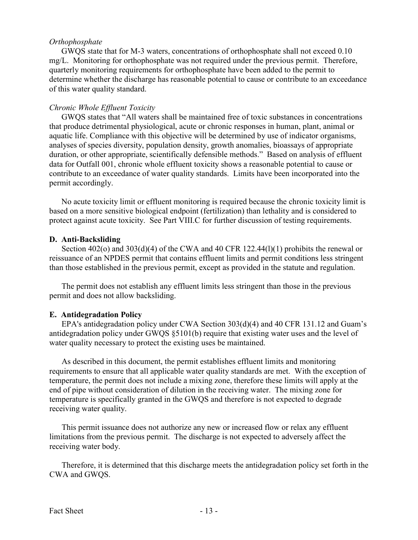#### **Orthophosphate**

 mg/L. Monitoring for orthophosphate was not required under the previous permit. Therefore, quarterly monitoring requirements for orthophosphate have been added to the permit to determine whether the discharge has reasonable potential to cause or contribute to an exceedance of this water quality standard. GWQS state that for M-3 waters, concentrations of orthophosphate shall not exceed 0.10

### Chronic Whole Effluent Toxicity

 that produce detrimental physiological, acute or chronic responses in human, plant, animal or aquatic life. Compliance with this objective will be determined by use of indicator organisms, analyses of species diversity, population density, growth anomalies, bioassays of appropriate duration, or other appropriate, scientifically defensible methods." Based on analysis of effluent data for Outfall 001, chronic whole effluent toxicity shows a reasonable potential to cause or contribute to an exceedance of water quality standards. Limits have been incorporated into the permit accordingly. GWQS states that "All waters shall be maintained free of toxic substances in concentrations

 No acute toxicity limit or effluent monitoring is required because the chronic toxicity limit is based on a more sensitive biological endpoint (fertilization) than lethality and is considered to protect against acute toxicity. See Part VIII.C for further discussion of testing requirements.

#### D. Anti-Backsliding

 reissuance of an NPDES permit that contains effluent limits and permit conditions less stringent than those established in the previous permit, except as provided in the statute and regulation. Section  $402$ (o) and  $303$ (d)(4) of the CWA and 40 CFR 122.44(l)(1) prohibits the renewal or

 permit and does not allow backsliding. The permit does not establish any effluent limits less stringent than those in the previous

### E. Antidegradation Policy

 antidegradation policy under GWQS §5101(b) require that existing water uses and the level of water quality necessary to protect the existing uses be maintained. EPA's antidegradation policy under CWA Section 303(d)(4) and 40 CFR 131.12 and Guam's

 As described in this document, the permit establishes effluent limits and monitoring requirements to ensure that all applicable water quality standards are met. With the exception of temperature, the permit does not include a mixing zone, therefore these limits will apply at the end of pipe without consideration of dilution in the receiving water. The mixing zone for temperature is specifically granted in the GWQS and therefore is not expected to degrade receiving water quality.

 This permit issuance does not authorize any new or increased flow or relax any effluent limitations from the previous permit. The discharge is not expected to adversely affect the receiving water body.

 Therefore, it is determined that this discharge meets the antidegradation policy set forth in the CWA and GWQS.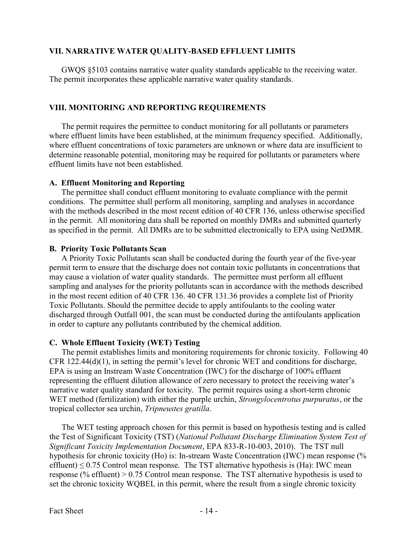## VII. NARRATIVE WATER QUALITY-BASED EFFLUENT LIMITS

 The permit incorporates these applicable narrative water quality standards. GWQS §5103 contains narrative water quality standards applicable to the receiving water.

### VIII. MONITORING AND REPORTING REQUIREMENTS

 where effluent limits have been established, at the minimum frequency specified. Additionally, where effluent concentrations of toxic parameters are unknown or where data are insufficient to determine reasonable potential, monitoring may be required for pollutants or parameters where effluent limits have not been established. The permit requires the permittee to conduct monitoring for all pollutants or parameters

### A. Effluent Monitoring and Reporting

 conditions. The permittee shall perform all monitoring, sampling and analyses in accordance with the methods described in the most recent edition of 40 CFR 136, unless otherwise specified in the permit. All monitoring data shall be reported on monthly DMRs and submitted quarterly as specified in the permit. All DMRs are to be submitted electronically to EPA using NetDMR. The permittee shall conduct effluent monitoring to evaluate compliance with the permit

### B. Priority Toxic Pollutants Scan

 A Priority Toxic Pollutants scan shall be conducted during the fourth year of the five-year permit term to ensure that the discharge does not contain toxic pollutants in concentrations that may cause a violation of water quality standards. The permittee must perform all effluent sampling and analyses for the priority pollutants scan in accordance with the methods described in the most recent edition of 40 CFR 136. 40 CFR 131.36 provides a complete list of Priority Toxic Pollutants. Should the permittee decide to apply antifoulants to the cooling water discharged through Outfall 001, the scan must be conducted during the antifoulants application in order to capture any pollutants contributed by the chemical addition.

# C. Whole Effluent Toxicity (WET) Testing

 The permit establishes limits and monitoring requirements for chronic toxicity. Following 40 CFR 122.44(d)(1), in setting the permit's level for chronic WET and conditions for discharge, EPA is using an Instream Waste Concentration (IWC) for the discharge of 100% effluent representing the effluent dilution allowance of zero necessary to protect the receiving water's narrative water quality standard for toxicity. The permit requires using a short-term chronic WET method (fertilization) with either the purple urchin, Strongylocentrotus purpuratus, or the tropical collector sea urchin, Tripneustes gratilla.

 The WET testing approach chosen for this permit is based on hypothesis testing and is called the Test of Significant Toxicity (TST) (National Pollutant Discharge Elimination System Test of Significant Toxicity Implementation Document, EPA 833-R-10-003, 2010). The TST null hypothesis for chronic toxicity (Ho) is: In-stream Waste Concentration (IWC) mean response (% effluent)  $\leq 0.75$  Control mean response. The TST alternative hypothesis is (Ha): IWC mean response (% effluent) > 0.75 Control mean response. The TST alternative hypothesis is used to set the chronic toxicity WQBEL in this permit, where the result from a single chronic toxicity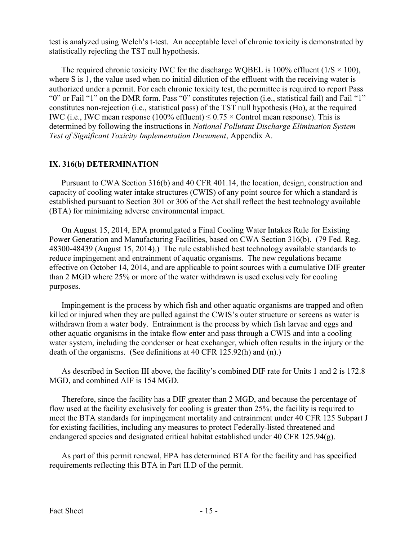test is analyzed using Welch's t-test. An acceptable level of chronic toxicity is demonstrated by statistically rejecting the TST null hypothesis.

The required chronic toxicity IWC for the discharge WQBEL is 100% effluent  $(1/S \times 100)$ , where S is 1, the value used when no initial dilution of the effluent with the receiving water is authorized under a permit. For each chronic toxicity test, the permittee is required to report Pass "0" or Fail "1" on the DMR form. Pass "0" constitutes rejection (i.e., statistical fail) and Fail "1" constitutes non-rejection (i.e., statistical pass) of the TST null hypothesis (Ho), at the required IWC (i.e., IWC mean response (100% effluent)  $\leq 0.75 \times$  Control mean response). This is determined by following the instructions in National Pollutant Discharge Elimination System Test of Significant Toxicity Implementation Document, Appendix A.

## IX. 316(b) DETERMINATION

 Pursuant to CWA Section 316(b) and 40 CFR 401.14, the location, design, construction and capacity of cooling water intake structures (CWIS) of any point source for which a standard is established pursuant to Section 301 or 306 of the Act shall reflect the best technology available (BTA) for minimizing adverse environmental impact.

 On August 15, 2014, EPA promulgated a Final Cooling Water Intakes Rule for Existing Power Generation and Manufacturing Facilities, based on CWA Section 316(b). (79 Fed. Reg. 48300-48439 (August 15, 2014).) The rule established best technology available standards to reduce impingement and entrainment of aquatic organisms. The new regulations became effective on October 14, 2014, and are applicable to point sources with a cumulative DIF greater than 2 MGD where 25% or more of the water withdrawn is used exclusively for cooling purposes.

 Impingement is the process by which fish and other aquatic organisms are trapped and often killed or injured when they are pulled against the CWIS's outer structure or screens as water is withdrawn from a water body. Entrainment is the process by which fish larvae and eggs and other aquatic organisms in the intake flow enter and pass through a CWIS and into a cooling water system, including the condenser or heat exchanger, which often results in the injury or the death of the organisms. (See definitions at 40 CFR 125.92(h) and (n).)

 As described in Section III above, the facility's combined DIF rate for Units 1 and 2 is 172.8 MGD, and combined AIF is 154 MGD.

 Therefore, since the facility has a DIF greater than 2 MGD, and because the percentage of flow used at the facility exclusively for cooling is greater than 25%, the facility is required to meet the BTA standards for impingement mortality and entrainment under 40 CFR 125 Subpart J for existing facilities, including any measures to protect Federally-listed threatened and endangered species and designated critical habitat established under 40 CFR 125.94(g).

 As part of this permit renewal, EPA has determined BTA for the facility and has specified requirements reflecting this BTA in Part II.D of the permit.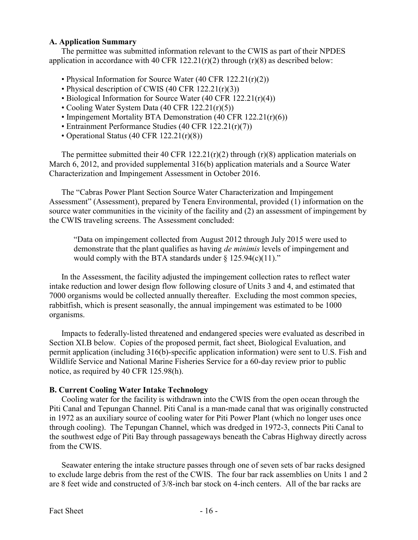### A. Application Summary

 The permittee was submitted information relevant to the CWIS as part of their NPDES application in accordance with 40 CFR  $122.21(r)(2)$  through  $(r)(8)$  as described below:

- Physical Information for Source Water (40 CFR 122.21(r)(2))
- Physical description of CWIS (40 CFR 122.21(r)(3))
- Biological Information for Source Water (40 CFR 122.21(r)(4))
- Cooling Water System Data (40 CFR 122.21(r)(5))
- Impingement Mortality BTA Demonstration (40 CFR 122.21(r)(6))
- Entrainment Performance Studies (40 CFR 122.21(r)(7))
- Operational Status (40 CFR 122.21(r)(8))

The permittee submitted their 40 CFR  $122.21(r)(2)$  through  $(r)(8)$  application materials on March 6, 2012, and provided supplemental 316(b) application materials and a Source Water Characterization and Impingement Assessment in October 2016.

 The "Cabras Power Plant Section Source Water Characterization and Impingement Assessment" (Assessment), prepared by Tenera Environmental, provided (1) information on the source water communities in the vicinity of the facility and (2) an assessment of impingement by the CWIS traveling screens. The Assessment concluded:

 "Data on impingement collected from August 2012 through July 2015 were used to demonstrate that the plant qualifies as having *de minimis* levels of impingement and would comply with the BTA standards under § 125.94(c)(11)."

 In the Assessment, the facility adjusted the impingement collection rates to reflect water intake reduction and lower design flow following closure of Units 3 and 4, and estimated that 7000 organisms would be collected annually thereafter. Excluding the most common species, rabbitfish, which is present seasonally, the annual impingement was estimated to be 1000 organisms.

 Impacts to federally-listed threatened and endangered species were evaluated as described in Section XI.B below. Copies of the proposed permit, fact sheet, Biological Evaluation, and permit application (including 316(b)-specific application information) were sent to U.S. Fish and Wildlife Service and National Marine Fisheries Service for a 60-day review prior to public notice, as required by 40 CFR 125.98(h).

### B. Current Cooling Water Intake Technology

 Cooling water for the facility is withdrawn into the CWIS from the open ocean through the Piti Canal and Tepungan Channel. Piti Canal is a man-made canal that was originally constructed in 1972 as an auxiliary source of cooling water for Piti Power Plant (which no longer uses once through cooling). The Tepungan Channel, which was dredged in 1972-3, connects Piti Canal to the southwest edge of Piti Bay through passageways beneath the Cabras Highway directly across from the CWIS.

 Seawater entering the intake structure passes through one of seven sets of bar racks designed to exclude large debris from the rest of the CWIS. The four bar rack assemblies on Units 1 and 2 are 8 feet wide and constructed of 3/8-inch bar stock on 4-inch centers. All of the bar racks are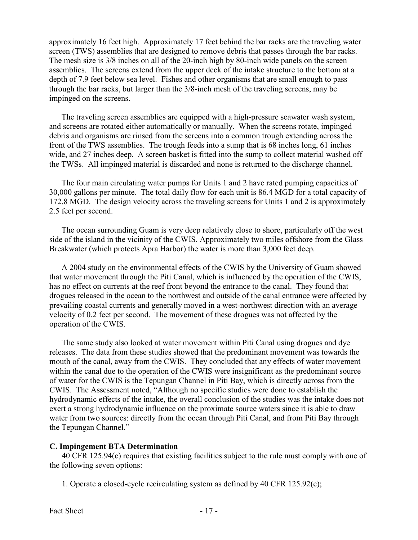approximately 16 feet high. Approximately 17 feet behind the bar racks are the traveling water screen (TWS) assemblies that are designed to remove debris that passes through the bar racks. The mesh size is 3/8 inches on all of the 20-inch high by 80-inch wide panels on the screen assemblies. The screens extend from the upper deck of the intake structure to the bottom at a depth of 7.9 feet below sea level. Fishes and other organisms that are small enough to pass through the bar racks, but larger than the 3/8-inch mesh of the traveling screens, may be impinged on the screens.

 The traveling screen assemblies are equipped with a high-pressure seawater wash system, and screens are rotated either automatically or manually. When the screens rotate, impinged debris and organisms are rinsed from the screens into a common trough extending across the front of the TWS assemblies. The trough feeds into a sump that is 68 inches long, 61 inches wide, and 27 inches deep. A screen basket is fitted into the sump to collect material washed off the TWSs. All impinged material is discarded and none is returned to the discharge channel.

 The four main circulating water pumps for Units 1 and 2 have rated pumping capacities of 30,000 gallons per minute. The total daily flow for each unit is 86.4 MGD for a total capacity of 172.8 MGD. The design velocity across the traveling screens for Units 1 and 2 is approximately 2.5 feet per second.

 The ocean surrounding Guam is very deep relatively close to shore, particularly off the west side of the island in the vicinity of the CWIS. Approximately two miles offshore from the Glass Breakwater (which protects Apra Harbor) the water is more than 3,000 feet deep.

 A 2004 study on the environmental effects of the CWIS by the University of Guam showed that water movement through the Piti Canal, which is influenced by the operation of the CWIS, has no effect on currents at the reef front beyond the entrance to the canal. They found that drogues released in the ocean to the northwest and outside of the canal entrance were affected by prevailing coastal currents and generally moved in a west-northwest direction with an average velocity of 0.2 feet per second. The movement of these drogues was not affected by the operation of the CWIS.

 The same study also looked at water movement within Piti Canal using drogues and dye releases. The data from these studies showed that the predominant movement was towards the mouth of the canal, away from the CWIS. They concluded that any effects of water movement within the canal due to the operation of the CWIS were insignificant as the predominant source of water for the CWIS is the Tepungan Channel in Piti Bay, which is directly across from the CWIS. The Assessment noted, "Although no specific studies were done to establish the hydrodynamic effects of the intake, the overall conclusion of the studies was the intake does not exert a strong hydrodynamic influence on the proximate source waters since it is able to draw water from two sources: directly from the ocean through Piti Canal, and from Piti Bay through the Tepungan Channel."

### C. Impingement BTA Determination

 40 CFR 125.94(c) requires that existing facilities subject to the rule must comply with one of the following seven options:

1. Operate a closed-cycle recirculating system as defined by 40 CFR 125.92(c);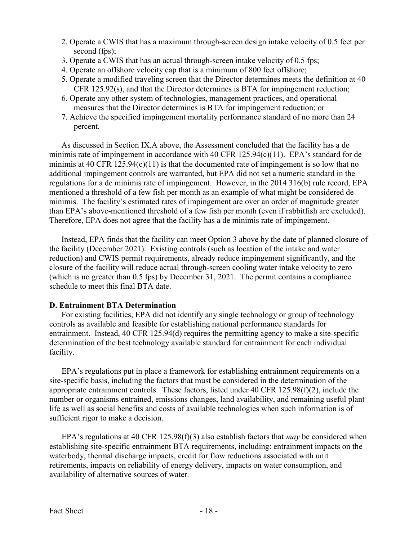- 2. Operate a CWIS that has a maximum through-screen design intake velocity of 0.5 feet per second (fps);
- 3. Operate a CWIS that has an actual through-screen intake velocity of 0.5 fps;
- 4. Operate an offshore velocity cap that is a minimum of 800 feet offshore;
- 5. Operate a modified traveling screen that the Director determines meets the definition at 40 CFR 125.92(s), and that the Director determines is BTA for impingement reduction;
- 6. Operate any other system of technologies, management practices, and operational measures that the Director determines is BTA for impingement reduction; or
- 7. Achieve the specified impingement mortality performance standard of no more than 24 percent.

 As discussed in Section IX.A above, the Assessment concluded that the facility has a de minimis rate of impingement in accordance with 40 CFR 125.94(c)(11). EPA's standard for de minimis at 40 CFR 125.94(c)(11) is that the documented rate of impingement is so low that no additional impingement controls are warranted, but EPA did not set a numeric standard in the regulations for a de minimis rate of impingement. However, in the 2014 316(b) rule record, EPA mentioned a threshold of a few fish per month as an example of what might be considered de minimis. The facility's estimated rates of impingement are over an order of magnitude greater than EPA's above-mentioned threshold of a few fish per month (even if rabbitfish are excluded). Therefore, EPA does not agree that the facility has a de minimis rate of impingement.

 the facility (December 2021). Existing controls (such as location of the intake and water reduction) and CWIS permit requirements, already reduce impingement significantly, and the closure of the facility will reduce actual through-screen cooling water intake velocity to zero (which is no greater than 0.5 fps) by December 31, 2021. The permit contains a compliance schedule to meet this final BTA date. Instead, EPA finds that the facility can meet Option 3 above by the date of planned closure of

### D. Entrainment BTA Determination

 controls as available and feasible for establishing national performance standards for entrainment. Instead, 40 CFR 125.94(d) requires the permitting agency to make a site-specific determination of the best technology available standard for entrainment for each individual For existing facilities, EPA did not identify any single technology or group of technology facility.

 EPA's regulations put in place a framework for establishing entrainment requirements on a site-specific basis, including the factors that must be considered in the determination of the appropriate entrainment controls. These factors, listed under 40 CFR 125.98(f)(2), include the number or organisms entrained, emissions changes, land availability, and remaining useful plant life as well as social benefits and costs of available technologies when such information is of sufficient rigor to make a decision.

EPA's regulations at 40 CFR 125.98(f)(3) also establish factors that *may* be considered when establishing site-specific entrainment BTA requirements, including: entrainment impacts on the waterbody, thermal discharge impacts, credit for flow reductions associated with unit retirements, impacts on reliability of energy delivery, impacts on water consumption, and availability of alternative sources of water.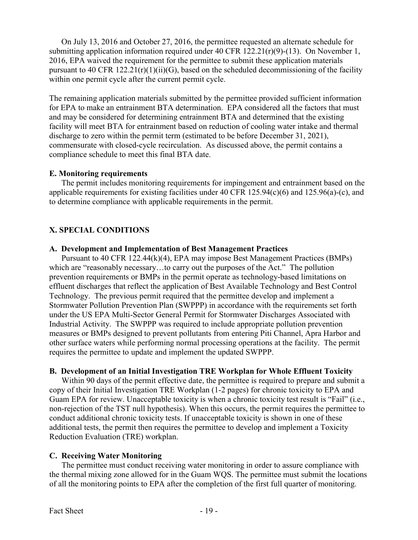On July 13, 2016 and October 27, 2016, the permittee requested an alternate schedule for submitting application information required under 40 CFR 122.21(r)(9)-(13). On November 1, 2016, EPA waived the requirement for the permittee to submit these application materials pursuant to 40 CFR 122.21(r)(1)(ii)(G), based on the scheduled decommissioning of the facility within one permit cycle after the current permit cycle.

 The remaining application materials submitted by the permittee provided sufficient information for EPA to make an entrainment BTA determination. EPA considered all the factors that must and may be considered for determining entrainment BTA and determined that the existing facility will meet BTA for entrainment based on reduction of cooling water intake and thermal discharge to zero within the permit term (estimated to be before December 31, 2021), commensurate with closed-cycle recirculation. As discussed above, the permit contains a compliance schedule to meet this final BTA date.

### E. Monitoring requirements

 The permit includes monitoring requirements for impingement and entrainment based on the applicable requirements for existing facilities under 40 CFR 125.94(c)(6) and 125.96(a)-(c), and to determine compliance with applicable requirements in the permit.

# X. SPECIAL CONDITIONS

#### A. Development and Implementation of Best Management Practices

 which are "reasonably necessary…to carry out the purposes of the Act." The pollution prevention requirements or BMPs in the permit operate as technology-based limitations on effluent discharges that reflect the application of Best Available Technology and Best Control Technology. The previous permit required that the permittee develop and implement a Stormwater Pollution Prevention Plan (SWPPP) in accordance with the requirements set forth under the US EPA Multi-Sector General Permit for Stormwater Discharges Associated with Industrial Activity. The SWPPP was required to include appropriate pollution prevention measures or BMPs designed to prevent pollutants from entering Piti Channel, Apra Harbor and other surface waters while performing normal processing operations at the facility. The permit requires the permittee to update and implement the updated SWPPP. Pursuant to 40 CFR 122.44(k)(4), EPA may impose Best Management Practices (BMPs)

### B. Development of an Initial Investigation TRE Workplan for Whole Effluent Toxicity

 copy of their Initial Investigation TRE Workplan (1-2 pages) for chronic toxicity to EPA and Guam EPA for review. Unacceptable toxicity is when a chronic toxicity test result is "Fail" (i.e., non-rejection of the TST null hypothesis). When this occurs, the permit requires the permittee to conduct additional chronic toxicity tests. If unacceptable toxicity is shown in one of these additional tests, the permit then requires the permittee to develop and implement a Toxicity Reduction Evaluation (TRE) workplan. Within 90 days of the permit effective date, the permittee is required to prepare and submit a

### C. Receiving Water Monitoring

 the thermal mixing zone allowed for in the Guam WQS. The permittee must submit the locations of all the monitoring points to EPA after the completion of the first full quarter of monitoring. The permittee must conduct receiving water monitoring in order to assure compliance with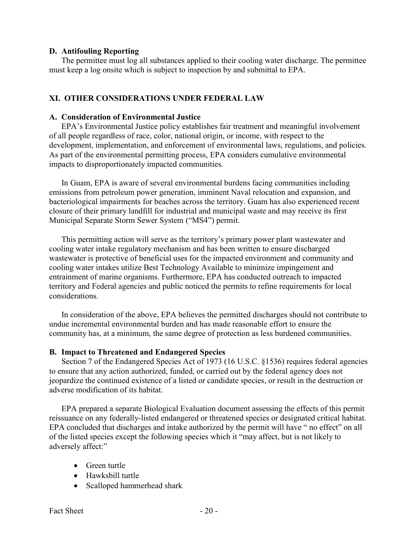### D. Antifouling Reporting

 must keep a log onsite which is subject to inspection by and submittal to EPA. The permittee must log all substances applied to their cooling water discharge. The permittee

### XI. OTHER CONSIDERATIONS UNDER FEDERAL LAW

#### A. Consideration of Environmental Justice

 EPA's Environmental Justice policy establishes fair treatment and meaningful involvement of all people regardless of race, color, national origin, or income, with respect to the development, implementation, and enforcement of environmental laws, regulations, and policies. As part of the environmental permitting process, EPA considers cumulative environmental impacts to disproportionately impacted communities.

 In Guam, EPA is aware of several environmental burdens facing communities including emissions from petroleum power generation, imminent Naval relocation and expansion, and bacteriological impairments for beaches across the territory. Guam has also experienced recent closure of their primary landfill for industrial and municipal waste and may receive its first Municipal Separate Storm Sewer System ("MS4") permit.

 This permitting action will serve as the territory's primary power plant wastewater and cooling water intake regulatory mechanism and has been written to ensure discharged wastewater is protective of beneficial uses for the impacted environment and community and cooling water intakes utilize Best Technology Available to minimize impingement and entrainment of marine organisms. Furthermore, EPA has conducted outreach to impacted territory and Federal agencies and public noticed the permits to refine requirements for local considerations.

 In consideration of the above, EPA believes the permitted discharges should not contribute to undue incremental environmental burden and has made reasonable effort to ensure the community has, at a minimum, the same degree of protection as less burdened communities.

### B. Impact to Threatened and Endangered Species

 Section 7 of the Endangered Species Act of 1973 (16 U.S.C. §1536) requires federal agencies to ensure that any action authorized, funded, or carried out by the federal agency does not jeopardize the continued existence of a listed or candidate species, or result in the destruction or adverse modification of its habitat.

 EPA prepared a separate Biological Evaluation document assessing the effects of this permit reissuance on any federally-listed endangered or threatened species or designated critical habitat. EPA concluded that discharges and intake authorized by the permit will have " no effect" on all of the listed species except the following species which it "may affect, but is not likely to adversely affect:"

- Green turtle
- Hawksbill turtle
- Scalloped hammerhead shark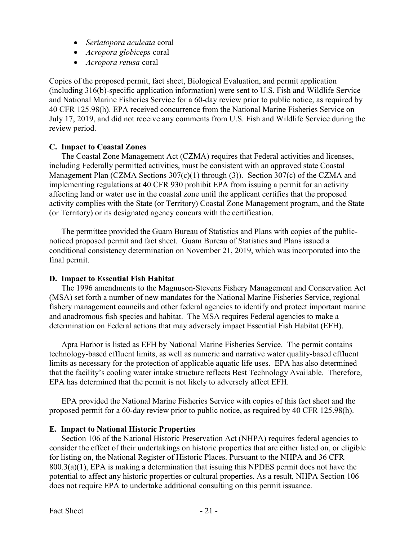- Seriatopora aculeata coral
- Acropora globiceps coral
- Acropora retusa coral

 Copies of the proposed permit, fact sheet, Biological Evaluation, and permit application (including 316(b)-specific application information) were sent to U.S. Fish and Wildlife Service and National Marine Fisheries Service for a 60-day review prior to public notice, as required by 40 CFR 125.98(h). EPA received concurrence from the National Marine Fisheries Service on July 17, 2019, and did not receive any comments from U.S. Fish and Wildlife Service during the review period.

### C. Impact to Coastal Zones

 The Coastal Zone Management Act (CZMA) requires that Federal activities and licenses, including Federally permitted activities, must be consistent with an approved state Coastal Management Plan (CZMA Sections 307(c)(1) through (3)). Section 307(c) of the CZMA and implementing regulations at 40 CFR 930 prohibit EPA from issuing a permit for an activity affecting land or water use in the coastal zone until the applicant certifies that the proposed activity complies with the State (or Territory) Coastal Zone Management program, and the State (or Territory) or its designated agency concurs with the certification.

 The permittee provided the Guam Bureau of Statistics and Plans with copies of the public- noticed proposed permit and fact sheet. Guam Bureau of Statistics and Plans issued a conditional consistency determination on November 21, 2019, which was incorporated into the final permit.

# D. Impact to Essential Fish Habitat

 The 1996 amendments to the Magnuson-Stevens Fishery Management and Conservation Act (MSA) set forth a number of new mandates for the National Marine Fisheries Service, regional fishery management councils and other federal agencies to identify and protect important marine and anadromous fish species and habitat. The MSA requires Federal agencies to make a determination on Federal actions that may adversely impact Essential Fish Habitat (EFH).

 Apra Harbor is listed as EFH by National Marine Fisheries Service. The permit contains technology-based effluent limits, as well as numeric and narrative water quality-based effluent limits as necessary for the protection of applicable aquatic life uses. EPA has also determined that the facility's cooling water intake structure reflects Best Technology Available. Therefore, EPA has determined that the permit is not likely to adversely affect EFH.

 EPA provided the National Marine Fisheries Service with copies of this fact sheet and the proposed permit for a 60-day review prior to public notice, as required by 40 CFR 125.98(h).

### E. Impact to National Historic Properties

 Section 106 of the National Historic Preservation Act (NHPA) requires federal agencies to consider the effect of their undertakings on historic properties that are either listed on, or eligible for listing on, the National Register of Historic Places. Pursuant to the NHPA and 36 CFR  $800.3(a)(1)$ , EPA is making a determination that issuing this NPDES permit does not have the potential to affect any historic properties or cultural properties. As a result, NHPA Section 106 does not require EPA to undertake additional consulting on this permit issuance.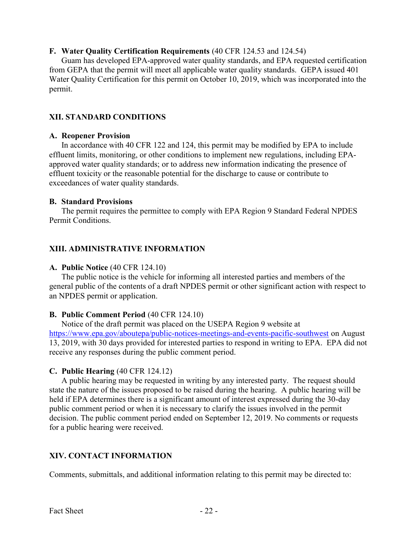## F. Water Quality Certification Requirements (40 CFR 124.53 and 124.54)

 from GEPA that the permit will meet all applicable water quality standards. GEPA issued 401 Water Quality Certification for this permit on October 10, 2019, which was incorporated into the Guam has developed EPA-approved water quality standards, and EPA requested certification permit.

## XII. STANDARD CONDITIONS

### A. Reopener Provision

 effluent limits, monitoring, or other conditions to implement new regulations, including EPA- approved water quality standards; or to address new information indicating the presence of effluent toxicity or the reasonable potential for the discharge to cause or contribute to exceedances of water quality standards. In accordance with 40 CFR 122 and 124, this permit may be modified by EPA to include

### B. Standard Provisions

 Permit Conditions. The permit requires the permittee to comply with EPA Region 9 Standard Federal NPDES

## XIII. ADMINISTRATIVE INFORMATION

# A. Public Notice (40 CFR 124.10)

 general public of the contents of a draft NPDES permit or other significant action with respect to an NPDES permit or application. The public notice is the vehicle for informing all interested parties and members of the

### B. Public Comment Period (40 CFR 124.10)

 <https://www.epa.gov/aboutepa/public-notices-meetings-and-events-pacific-southwest> on August 13, 2019, with 30 days provided for interested parties to respond in writing to EPA. EPA did not receive any responses during the public comment period. Notice of the draft permit was placed on the USEPA Region 9 website at

### C. Public Hearing (40 CFR 124.12)

 state the nature of the issues proposed to be raised during the hearing. A public hearing will be held if EPA determines there is a significant amount of interest expressed during the 30-day public comment period or when it is necessary to clarify the issues involved in the permit decision. The public comment period ended on September 12, 2019. No comments or requests for a public hearing were received. A public hearing may be requested in writing by any interested party. The request should

# XIV. CONTACT INFORMATION

Comments, submittals, and additional information relating to this permit may be directed to: